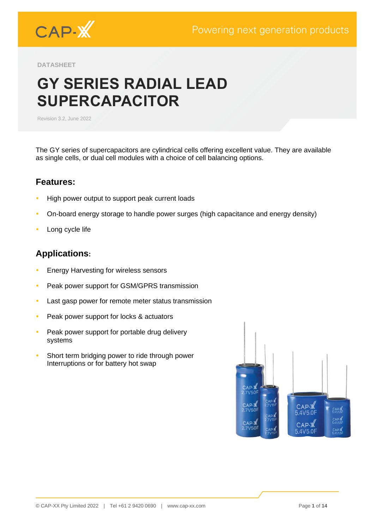

**DATASHEET**

# **GY SERIES RADIAL LEAD SUPERCAPACITOR**

Revision 3.2, June 2022

The GY series of supercapacitors are cylindrical cells offering excellent value. They are available as single cells, or dual cell modules with a choice of cell balancing options.

### **Features:**

- High power output to support peak current loads
- On-board energy storage to handle power surges (high capacitance and energy density)
- Long cycle life

# **Applications:**

- **Energy Harvesting for wireless sensors**
- Peak power support for GSM/GPRS transmission
- Last gasp power for remote meter status transmission
- Peak power support for locks & actuators
- Peak power support for portable drug delivery systems
- Short term bridging power to ride through power Interruptions or for battery hot swap

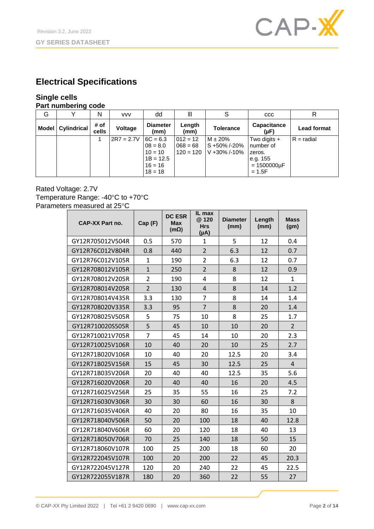

# **Electrical Specifications**

# **Single cells**

#### **Part numbering code**

| G |                   | N                    | <b>VVV</b>     | dd                                                                             | Ш                                       |                                                  | <b>CCC</b>                                                                          | R                  |
|---|-------------------|----------------------|----------------|--------------------------------------------------------------------------------|-----------------------------------------|--------------------------------------------------|-------------------------------------------------------------------------------------|--------------------|
|   | Model Cylindrical | # of<br><b>cells</b> | <b>Voltage</b> | <b>Diameter</b><br>(mm)                                                        | Length<br>(mm)                          | <b>Tolerance</b>                                 | Capacitance<br>(µF)                                                                 | <b>Lead format</b> |
|   |                   |                      | $2R7 = 2.7V$   | $6C = 6.3$<br>$08 = 8.0$<br>$10 = 10$<br>$1B = 12.5$<br>$16 = 16$<br>$18 = 18$ | $012 = 12$<br>$068 = 68$<br>$120 = 120$ | $M \pm 20%$<br>S +50%/-20%<br>$V + 30\% / -10\%$ | Two digits $+$<br>number of<br>zeros.<br>le.g. 155<br>$= 1500000 \mu F$<br>$= 1.5F$ | $R =$ radial       |

#### Rated Voltage: 2.7V Temperature Range: -40°C to +70°C Parameters measured at 25°C

| <b>CAP-XX Part no.</b> | Cap (F)        | <b>DC ESR</b><br><b>Max</b><br>$(m\Omega)$ | IL max<br>@ 120<br><b>Hrs</b><br>$(\mu A)$ | <b>Diameter</b><br>(mm) | Length<br>(mm) | <b>Mass</b><br>(gm) |
|------------------------|----------------|--------------------------------------------|--------------------------------------------|-------------------------|----------------|---------------------|
| GY12R705012V504R       | 0.5            | 570                                        | $\mathbf{1}$                               | 5                       | 12             | 0.4                 |
| GY12R76C012V804R       | 0.8            | 440                                        | $\overline{2}$                             | 6.3                     | 12             | 0.7                 |
| GY12R76C012V105R       | $\mathbf{1}$   | 190                                        | $\overline{2}$                             | 6.3                     | 12             | 0.7                 |
| GY12R708012V105R       | $\mathbf{1}$   | 250                                        | $\overline{2}$                             | 8                       | 12             | 0.9                 |
| GY12R708012V205R       | $\overline{2}$ | 190                                        | 4                                          | 8                       | 12             | $\mathbf{1}$        |
| GY12R708014V205R       | $\overline{2}$ | 130                                        | 4                                          | 8                       | 14             | 1.2                 |
| GY12R708014V435R       | 3.3            | 130                                        | 7                                          | 8                       | 14             | 1.4                 |
| GY12R708020V335R       | 3.3            | 95                                         | $\overline{7}$                             | 8                       | 20             | 1.4                 |
| GY12R708025V505R       | 5              | 75                                         | 10                                         | 8                       | 25             | 1.7                 |
| GY12R710020S505R       | 5              | 45                                         | 10                                         | 10                      | 20             | $\overline{2}$      |
| GY12R710021V705R       | $\overline{7}$ | 45                                         | 14                                         | 10                      | 20             | 2.3                 |
| GY12R710025V106R       | 10             | 40                                         | 20                                         | 10                      | 25             | 2.7                 |
| GY12R71B020V106R       | 10             | 40                                         | 20                                         | 12.5                    | 20             | 3.4                 |
| GY12R71B025V156R       | 15             | 45                                         | 30                                         | 12.5                    | 25             | 4                   |
| GY12R71B035V206R       | 20             | 40                                         | 40                                         | 12.5                    | 35             | 5.6                 |
| GY12R716020V206R       | 20             | 40                                         | 40                                         | 16                      | 20             | 4.5                 |
| GY12R716025V256R       | 25             | 35                                         | 55                                         | 16                      | 25             | 7.2                 |
| GY12R716030V306R       | 30             | 30                                         | 60                                         | 16                      | 30             | 8                   |
| GY12R716035V406R       | 40             | 20                                         | 80                                         | 16                      | 35             | 10                  |
| GY12R718040V506R       | 50             | 20                                         | 100                                        | 18                      | 40             | 12.8                |
| GY12R718040V606R       | 60             | 20                                         | 120                                        | 18                      | 40             | 13                  |
| GY12R718050V706R       | 70             | 25                                         | 140                                        | 18                      | 50             | 15                  |
| GY12R718060V107R       | 100            | 25                                         | 200                                        | 18                      | 60             | 20                  |
| GY12R722045V107R       | 100            | 20                                         | 200                                        | 22                      | 45             | 20.3                |
| GY12R722045V127R       | 120            | 20                                         | 240                                        | 22                      | 45             | 22.5                |
| GY12R722055V187R       | 180            | 20                                         | 360                                        | 22                      | 55             | 27                  |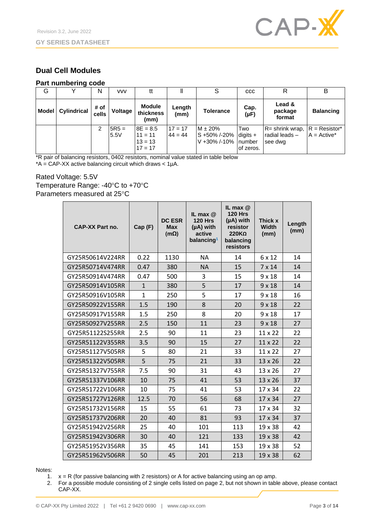

### **Dual Cell Modules**

#### **Part numbering code**

| G            |             | N             | <b>VVV</b>      | tt                                                |                        | S                                                                 | <b>CCC</b>       | R                                                | в                                |
|--------------|-------------|---------------|-----------------|---------------------------------------------------|------------------------|-------------------------------------------------------------------|------------------|--------------------------------------------------|----------------------------------|
| <b>Model</b> | Cylindrical | # of<br>cells | Voltage         | <b>Module</b><br>thickness<br>(mm)                | Length<br>(mm)         | <b>Tolerance</b>                                                  | Cap.<br>(µF)     | Lead &<br>package<br>format                      | <b>Balancing</b>                 |
|              |             | 2             | $5R5 =$<br>5.5V | $8E = 8.5$<br>$11 = 11$<br>$13 = 13$<br>$17 = 17$ | $17 = 17$<br>$44 = 44$ | $M \pm 20%$<br>$S + 50\% / -20\%$ digits +<br>V +30% /-10% number | Two<br>of zeros. | $R =$ shrink wrap,<br>Iradial leads –<br>see dwg | $R =$ Resistor*<br>$A = Active*$ |

\*R pair of balancing resistors, 0402 resistors, nominal value stated in table below  $*A = CAP-XX$  active balancing circuit which draws  $< 1 \mu A$ .

Rated Voltage: 5.5V Temperature Range: -40°C to +70°C Parameters measured at 25°C

| <b>CAP-XX Part no.</b> | Cap(F)       | <b>DC ESR</b><br><b>Max</b><br>$(m\Omega)$ | IL max $@$<br><b>120 Hrs</b><br>(µA) with<br>active<br>balancing <sup>1</sup> | IL max $@$<br><b>120 Hrs</b><br>$(\mu A)$ with<br>resistor<br>$220K\Omega$<br>balancing<br>resistors | Thick x<br><b>Width</b><br>(mm) | Length<br>(mm) |
|------------------------|--------------|--------------------------------------------|-------------------------------------------------------------------------------|------------------------------------------------------------------------------------------------------|---------------------------------|----------------|
| GY25R50614V224RR       | 0.22         | 1130                                       | <b>NA</b>                                                                     | 14                                                                                                   | 6 x 12                          | 14             |
| GY25R50714V474RR       | 0.47         | 380                                        | <b>NA</b>                                                                     | 15                                                                                                   | $7 \times 14$                   | 14             |
| GY25R50914V474RR       | 0.47         | 500                                        | 3                                                                             | 15                                                                                                   | $9 \times 18$                   | 14             |
| GY25R50914V105RR       | $\mathbf{1}$ | 380                                        | 5                                                                             | 17                                                                                                   | $9 \times 18$                   | 14             |
| GY25R50916V105RR       | 1            | 250                                        | 5                                                                             | 17                                                                                                   | $9 \times 18$                   | 16             |
| GY25R50922V155RR       | 1.5          | 190                                        | 8                                                                             | 20                                                                                                   | $9 \times 18$                   | 22             |
| GY25R50917V155RR       | 1.5          | 250                                        | 8                                                                             | 20                                                                                                   | $9 \times 18$                   | 17             |
| GY25R50927V255RR       | 2.5          | 150                                        | 11                                                                            | 23                                                                                                   | $9 \times 18$                   | 27             |
| GY25R51122S255RR       | 2.5          | 90                                         | 11                                                                            | 23                                                                                                   | 11 x 22                         | 22             |
| GY25R51122V355RR       | 3.5          | 90                                         | 15                                                                            | 27                                                                                                   | $11 \times 22$                  | 22             |
| GY25R51127V505RR       | 5            | 80                                         | 21                                                                            | 33                                                                                                   | $11 \times 22$                  | 27             |
| GY25R51322V505RR       | 5            | 75                                         | 21                                                                            | 33                                                                                                   | 13 x 26                         | 22             |
| GY25R51327V755RR       | 7.5          | 90                                         | 31                                                                            | 43                                                                                                   | 13 x 26                         | 27             |
| GY25R51337V106RR       | 10           | 75                                         | 41                                                                            | 53                                                                                                   | 13 x 26                         | 37             |
| GY25R51722V106RR       | 10           | 75                                         | 41                                                                            | 53                                                                                                   | 17 x 34                         | 22             |
| GY25R51727V126RR       | 12.5         | 70                                         | 56                                                                            | 68                                                                                                   | 17 x 34                         | 27             |
| GY25R51732V156RR       | 15           | 55                                         | 61                                                                            | 73                                                                                                   | 17 x 34                         | 32             |
| GY25R51737V206RR       | 20           | 40                                         | 81                                                                            | 93                                                                                                   | 17 x 34                         | 37             |
| GY25R51942V256RR       | 25           | 40                                         | 101                                                                           | 113                                                                                                  | $19 \times 38$                  | 42             |
| GY25R51942V306RR       | 30           | 40                                         | 121                                                                           | 133                                                                                                  | 19 x 38                         | 42             |
| GY25R51952V356RR       | 35           | 45                                         | 141                                                                           | 153                                                                                                  | 19 x 38                         | 52             |
| GY25R51962V506RR       | 50           | 45                                         | 201                                                                           | 213                                                                                                  | 19 x 38                         | 62             |

Notes:

- 1.  $x = R$  (for passive balancing with 2 resistors) or A for active balancing using an op amp.
- 2. For a possible module consisting of 2 single cells listed on page 2, but not shown in table above, please contact CAP-XX.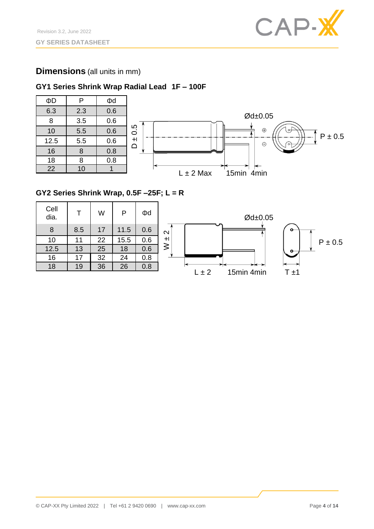

### **Dimensions** (all units in mm)

### **GY1 Series Shrink Wrap Radial Lead 1F – 100F**





### **GY2 Series Shrink Wrap, 0.5F –25F; L = R**

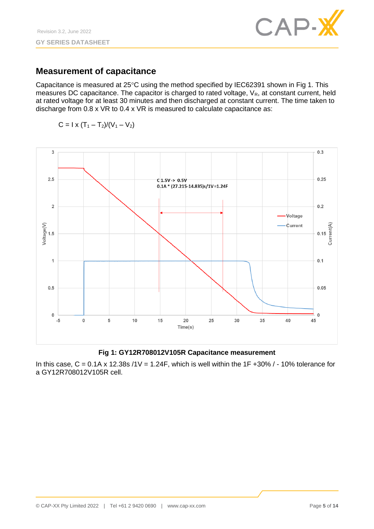

### **Measurement of capacitance**

Capacitance is measured at  $25^{\circ}$ C using the method specified by IEC62391 shown in Fig 1. This measures DC capacitance. The capacitor is charged to rated voltage,  $V_R$ , at constant current, held at rated voltage for at least 30 minutes and then discharged at constant current. The time taken to discharge from 0.8 x VR to 0.4 x VR is measured to calculate capacitance as:

$$
C = I \times (T_1 - T_2)/(V_1 - V_2)
$$



#### **Fig 1: GY12R708012V105R Capacitance measurement**

In this case,  $C = 0.1A \times 12.38s / 1V = 1.24F$ , which is well within the 1F +30% / - 10% tolerance for a GY12R708012V105R cell.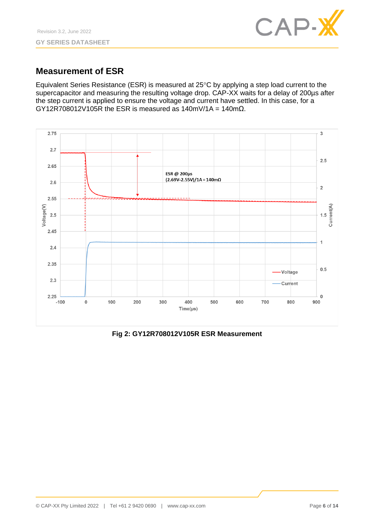

## **Measurement of ESR**

Equivalent Series Resistance (ESR) is measured at 25°C by applying a step load current to the supercapacitor and measuring the resulting voltage drop. CAP-XX waits for a delay of 200us after the step current is applied to ensure the voltage and current have settled. In this case, for a GY12R708012V105R the ESR is measured as  $140$ mV/1A =  $140$ m $\Omega$ .



**Fig 2: GY12R708012V105R ESR Measurement**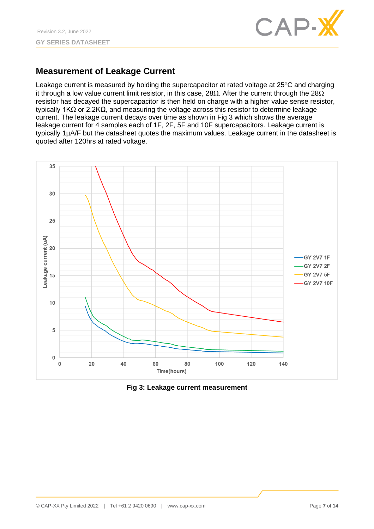

# **Measurement of Leakage Current**

Leakage current is measured by holding the supercapacitor at rated voltage at  $25^{\circ}$ C and charging it through a low value current limit resistor, in this case, 28 $\Omega$ . After the current through the 28 $\Omega$ resistor has decayed the supercapacitor is then held on charge with a higher value sense resistor, typically 1KΩ or 2.2KΩ, and measuring the voltage across this resistor to determine leakage current. The leakage current decays over time as shown in Fig 3 which shows the average leakage current for 4 samples each of 1F, 2F, 5F and 10F supercapacitors. Leakage current is typically 1µA/F but the datasheet quotes the maximum values. Leakage current in the datasheet is quoted after 120hrs at rated voltage.



**Fig 3: Leakage current measurement**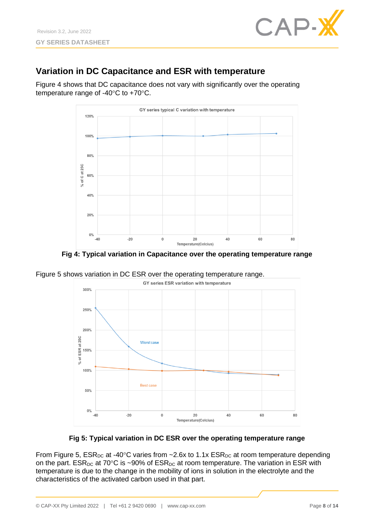

# **Variation in DC Capacitance and ESR with temperature**

Figure 4 shows that DC capacitance does not vary with significantly over the operating temperature range of  $-40^{\circ}$ C to  $+70^{\circ}$ C.



**Fig 4: Typical variation in Capacitance over the operating temperature range**

Figure 5 shows variation in DC ESR over the operating temperature range.





From Figure 5,  $ESR_{DC}$  at -40°C varies from ~2.6x to 1.1x  $ESR_{DC}$  at room temperature depending on the part.  $ESR_{DC}$  at 70°C is ~90% of  $ESR_{DC}$  at room temperature. The variation in ESR with temperature is due to the change in the mobility of ions in solution in the electrolyte and the characteristics of the activated carbon used in that part.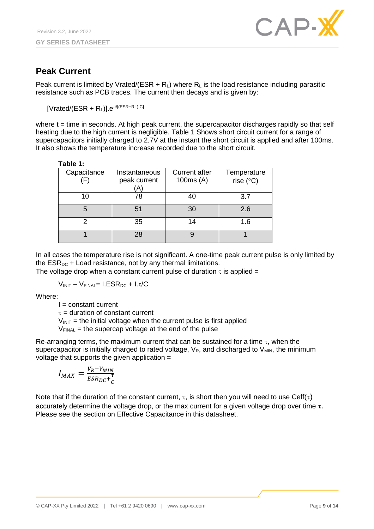

# **Peak Current**

Peak current is limited by Vrated/(ESR +  $R_L$ ) where  $R_L$  is the load resistance including parasitic resistance such as PCB traces. The current then decays and is given by:

 $[V \text{rated/(ESR + R<sub>L</sub>)}].e^{-t/[(ESR+RL).C]}$ 

where  $t =$  time in seconds. At high peak current, the supercapacitor discharges rapidly so that self heating due to the high current is negligible. Table 1 Shows short circuit current for a range of supercapacitors initially charged to 2.7V at the instant the short circuit is applied and after 100ms. It also shows the temperature increase recorded due to the short circuit.

| Table |  |  |
|-------|--|--|
|       |  |  |

| rabie r.                     |              |                      |                    |  |
|------------------------------|--------------|----------------------|--------------------|--|
| Capacitance<br>Instantaneous |              | <b>Current after</b> | Temperature        |  |
| $\left(\mathsf{F}\right)$    | peak current | 100 $ms(A)$          | rise $(^{\circ}C)$ |  |
|                              | 'A)          |                      |                    |  |
| 10                           | 78           | 40                   | 3.7                |  |
|                              | 51           | 30                   | 2.6                |  |
|                              | 35           | 14                   | 1.6                |  |
|                              | 28           |                      |                    |  |

In all cases the temperature rise is not significant. A one-time peak current pulse is only limited by the  $ESR_{DC}$  + Load resistance, not by any thermal limitations.

The voltage drop when a constant current pulse of duration  $\tau$  is applied =

 $V_{INIT} - V_{FINAL} = I.ESR<sub>DC</sub> + I.\tau/C$ 

Where:

 $I = constant current$ 

 $\tau$  = duration of constant current

 $V_{\text{INIT}}$  = the initial voltage when the current pulse is first applied

 $V_{\text{FINAL}}$  = the supercap voltage at the end of the pulse

Re-arranging terms, the maximum current that can be sustained for a time  $\tau$ , when the supercapacitor is initially charged to rated voltage,  $V_R$ , and discharged to  $V_{MIN}$ , the minimum voltage that supports the given application =

$$
I_{MAX} = \frac{V_R - V_{MIN}}{ESR_{DC} + \frac{\tau}{C}}
$$

Note that if the duration of the constant current,  $\tau$ , is short then you will need to use Ceff( $\tau$ ) accurately determine the voltage drop, or the max current for a given voltage drop over time  $\tau$ . Please see the section on Effective Capacitance in this datasheet.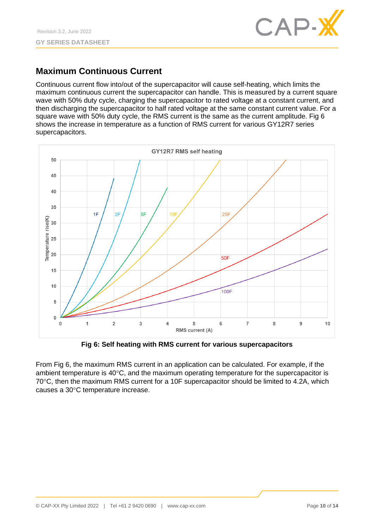

# **Maximum Continuous Current**

Continuous current flow into/out of the supercapacitor will cause self-heating, which limits the maximum continuous current the supercapacitor can handle. This is measured by a current square wave with 50% duty cycle, charging the supercapacitor to rated voltage at a constant current, and then discharging the supercapacitor to half rated voltage at the same constant current value. For a square wave with 50% duty cycle, the RMS current is the same as the current amplitude. Fig 6 shows the increase in temperature as a function of RMS current for various GY12R7 series supercapacitors.



**Fig 6: Self heating with RMS current for various supercapacitors**

From Fig 6, the maximum RMS current in an application can be calculated. For example, if the ambient temperature is  $40^{\circ}$ C, and the maximum operating temperature for the supercapacitor is 70°C, then the maximum RMS current for a 10F supercapacitor should be limited to 4.2A, which causes a 30°C temperature increase.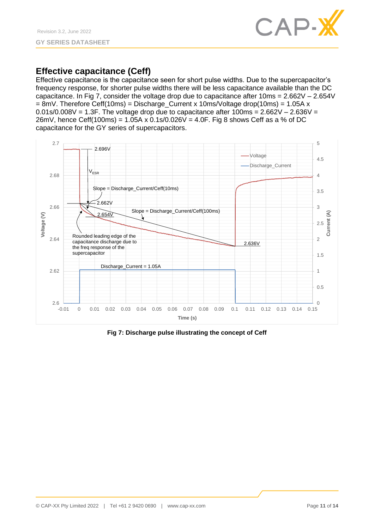

## **Effective capacitance (Ceff)**

Effective capacitance is the capacitance seen for short pulse widths. Due to the supercapacitor's frequency response, for shorter pulse widths there will be less capacitance available than the DC capacitance. In Fig 7, consider the voltage drop due to capacitance after 10ms = 2.662V – 2.654V  $= 8$ mV. Therefore Ceff(10ms) = Discharge Current x 10ms/Voltage drop(10ms) = 1.05A x  $0.01$ s/0.008V = 1.3F. The voltage drop due to capacitance after  $100$ ms =  $2.662V - 2.636V =$ 26mV, hence Ceff(100ms) = 1.05A x 0.1s/0.026V = 4.0F. Fig 8 shows Ceff as a % of DC capacitance for the GY series of supercapacitors.



**Fig 7: Discharge pulse illustrating the concept of Ceff**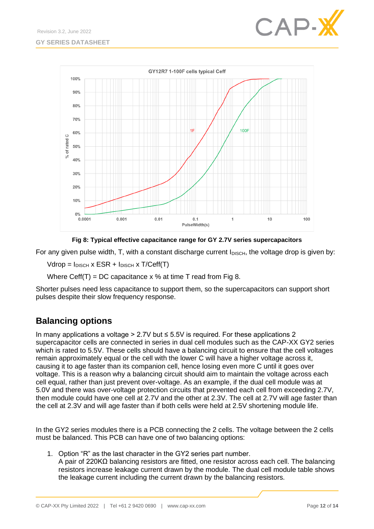



**Fig 8: Typical effective capacitance range for GY 2.7V series supercapacitors**

For any given pulse width,  $T$ , with a constant discharge current  $I_{DISCH}$ , the voltage drop is given by:

 $Vdrop = I_{DISCH} \times ESR + I_{DISCH} \times T/Ceff(T)$ 

Where Ceff(T) = DC capacitance  $x$  % at time T read from Fig 8.

Shorter pulses need less capacitance to support them, so the supercapacitors can support short pulses despite their slow frequency response.

# **Balancing options**

In many applications a voltage > 2.7V but  $\leq$  5.5V is required. For these applications 2 supercapacitor cells are connected in series in dual cell modules such as the CAP-XX GY2 series which is rated to 5.5V. These cells should have a balancing circuit to ensure that the cell voltages remain approximately equal or the cell with the lower C will have a higher voltage across it, causing it to age faster than its companion cell, hence losing even more C until it goes over voltage. This is a reason why a balancing circuit should aim to maintain the voltage across each cell equal, rather than just prevent over-voltage. As an example, if the dual cell module was at 5.0V and there was over-voltage protection circuits that prevented each cell from exceeding 2.7V, then module could have one cell at 2.7V and the other at 2.3V. The cell at 2.7V will age faster than the cell at 2.3V and will age faster than if both cells were held at 2.5V shortening module life.

In the GY2 series modules there is a PCB connecting the 2 cells. The voltage between the 2 cells must be balanced. This PCB can have one of two balancing options:

1. Option "R" as the last character in the GY2 series part number. A pair of 220KΩ balancing resistors are fitted, one resistor across each cell. The balancing resistors increase leakage current drawn by the module. The dual cell module table shows the leakage current including the current drawn by the balancing resistors.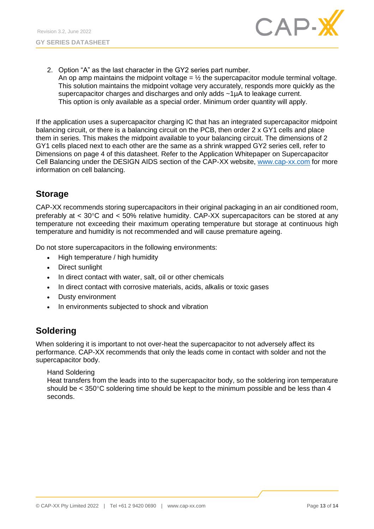

2. Option "A" as the last character in the GY2 series part number. An op amp maintains the midpoint voltage  $=$   $\frac{1}{2}$  the supercapacitor module terminal voltage. This solution maintains the midpoint voltage very accurately, responds more quickly as the supercapacitor charges and discharges and only adds ~1µA to leakage current. This option is only available as a special order. Minimum order quantity will apply.

If the application uses a supercapacitor charging IC that has an integrated supercapacitor midpoint balancing circuit, or there is a balancing circuit on the PCB, then order 2 x GY1 cells and place them in series. This makes the midpoint available to your balancing circuit. The dimensions of 2 GY1 cells placed next to each other are the same as a shrink wrapped GY2 series cell, refer to Dimensions on page 4 of this datasheet. Refer to the Application Whitepaper on Supercapacitor Cell Balancing under the DESIGN AIDS section of the CAP-XX website, [www.cap-xx.com](http://www.cap-xx.com/) for more information on cell balancing.

## **Storage**

CAP-XX recommends storing supercapacitors in their original packaging in an air conditioned room, preferably at  $<$  30°C and  $<$  50% relative humidity. CAP-XX supercapacitors can be stored at any temperature not exceeding their maximum operating temperature but storage at continuous high temperature and humidity is not recommended and will cause premature ageing.

Do not store supercapacitors in the following environments:

- High temperature / high humidity
- Direct sunlight
- In direct contact with water, salt, oil or other chemicals
- In direct contact with corrosive materials, acids, alkalis or toxic gases
- Dusty environment
- In environments subjected to shock and vibration

# **Soldering**

When soldering it is important to not over-heat the supercapacitor to not adversely affect its performance. CAP-XX recommends that only the leads come in contact with solder and not the supercapacitor body.

Hand Soldering

Heat transfers from the leads into to the supercapacitor body, so the soldering iron temperature should be  $<$  350 $\degree$ C soldering time should be kept to the minimum possible and be less than 4 seconds.